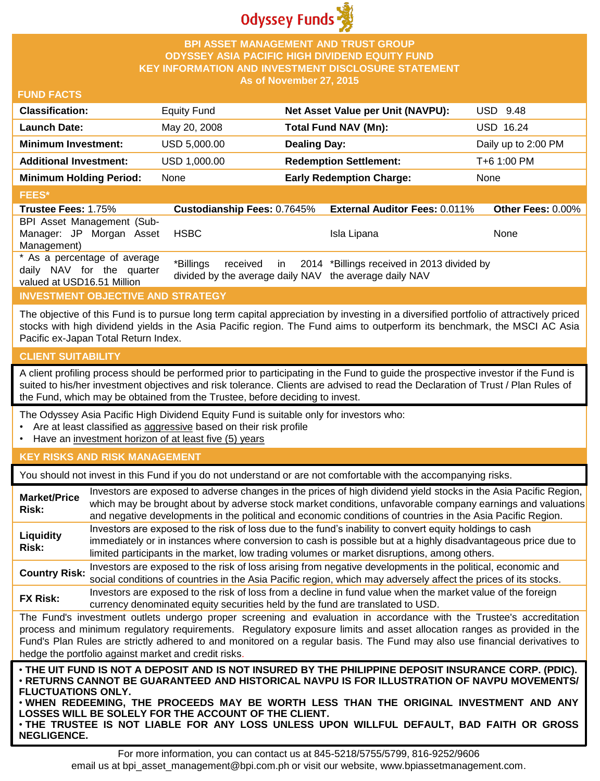

## **BPI ASSET MANAGEMENT AND TRUST GROUP ODYSSEY ASIA PACIFIC HIGH DIVIDEND EQUITY FUND KEY INFORMATION AND INVESTMENT DISCLOSURE STATEMENT As of November 27, 2015**

## **FUND FACTS**

| <b>Classification:</b>         | <b>Equity Fund</b> | Net Asset Value per Unit (NAVPU): | USD 9.48            |
|--------------------------------|--------------------|-----------------------------------|---------------------|
| <b>Launch Date:</b>            | May 20, 2008       | <b>Total Fund NAV (Mn):</b>       | <b>USD 16.24</b>    |
| <b>Minimum Investment:</b>     | USD 5,000.00       | <b>Dealing Day:</b>               | Daily up to 2:00 PM |
| <b>Additional Investment:</b>  | USD 1,000.00       | <b>Redemption Settlement:</b>     | T+6 1:00 PM         |
| <b>Minimum Holding Period:</b> | None               | <b>Early Redemption Charge:</b>   | None                |
| <b>FEES*</b>                   |                    |                                   |                     |
|                                |                    |                                   |                     |

| <b>Trustee Fees: 1.75%</b>   | <b>Custodianship Fees: 0.7645%</b>                     | <b>External Auditor Fees: 0.011%</b>                   | <b>Other Fees: 0.00%</b> |
|------------------------------|--------------------------------------------------------|--------------------------------------------------------|--------------------------|
| BPI Asset Management (Sub-   |                                                        |                                                        |                          |
| Manager: JP Morgan Asset     | <b>HSBC</b>                                            | Isla Lipana                                            | None                     |
| Management)                  |                                                        |                                                        |                          |
| * As a percentage of average | *Billings                                              | received in 2014 *Billings received in 2013 divided by |                          |
| daily NAV for the quarter    |                                                        |                                                        |                          |
| valued at USD16.51 Million   | divided by the average daily NAV the average daily NAV |                                                        |                          |

## **INVESTMENT OBJECTIVE AND STRATEGY**

The objective of this Fund is to pursue long term capital appreciation by investing in a diversified portfolio of attractively priced stocks with high dividend yields in the Asia Pacific region. The Fund aims to outperform its benchmark, the MSCI AC Asia Pacific ex-Japan Total Return Index.

#### **CLIENT SUITABILITY**

A client profiling process should be performed prior to participating in the Fund to guide the prospective investor if the Fund is suited to his/her investment objectives and risk tolerance. Clients are advised to read the Declaration of Trust / Plan Rules of the Fund, which may be obtained from the Trustee, before deciding to invest.

The Odyssey Asia Pacific High Dividend Equity Fund is suitable only for investors who:

- Are at least classified as aggressive based on their risk profile
- Have an investment horizon of at least five (5) years

### **KEY RISKS AND RISK MANAGEMENT**

You should not invest in this Fund if you do not understand or are not comfortable with the accompanying risks.

| <b>Market/Price</b><br><b>Risk:</b> | Investors are exposed to adverse changes in the prices of high dividend yield stocks in the Asia Pacific Region,<br>which may be brought about by adverse stock market conditions, unfavorable company earnings and valuations<br>and negative developments in the political and economic conditions of countries in the Asia Pacific Region.                                                                                        |
|-------------------------------------|--------------------------------------------------------------------------------------------------------------------------------------------------------------------------------------------------------------------------------------------------------------------------------------------------------------------------------------------------------------------------------------------------------------------------------------|
| Liquidity<br>Risk:                  | Investors are exposed to the risk of loss due to the fund's inability to convert equity holdings to cash<br>immediately or in instances where conversion to cash is possible but at a highly disadvantageous price due to<br>limited participants in the market, low trading volumes or market disruptions, among others.                                                                                                            |
| <b>Country Risk:</b>                | Investors are exposed to the risk of loss arising from negative developments in the political, economic and<br>social conditions of countries in the Asia Pacific region, which may adversely affect the prices of its stocks.                                                                                                                                                                                                       |
| <b>FX Risk:</b>                     | Investors are exposed to the risk of loss from a decline in fund value when the market value of the foreign<br>currency denominated equity securities held by the fund are translated to USD.                                                                                                                                                                                                                                        |
|                                     | The Fund's investment outlets undergo proper screening and evaluation in accordance with the Trustee's accreditation<br>process and minimum regulatory requirements. Regulatory exposure limits and asset allocation ranges as provided in the<br>Fund's Plan Rules are strictly adhered to and monitored on a regular basis. The Fund may also use financial derivatives to<br>hedge the portfolio against market and credit risks. |
| <b>FLUCTUATIONS ONLY.</b>           | . THE UIT FUND IS NOT A DEPOSIT AND IS NOT INSURED BY THE PHILIPPINE DEPOSIT INSURANCE CORP. (PDIC).<br><b>• RETURNS CANNOT BE GUARANTEED AND HISTORICAL NAVPU IS FOR ILLUSTRATION OF NAVPU MOVEMENTS</b><br>. WHEN REDEEMING. THE PROCEEDS MAY BE WORTH LESS THAN THE ORIGINAL INVESTMENT AND ANY<br>OSSES WILL BE SOLELY EOP THE ACCOUNT OF THE CLIENT                                                                             |

**LOSSES WILL BE SOLELY FOR THE ACCOUNT OF THE CLIENT.** • **THE TRUSTEE IS NOT LIABLE FOR ANY LOSS UNLESS UPON WILLFUL DEFAULT, BAD FAITH OR GROSS NEGLIGENCE.**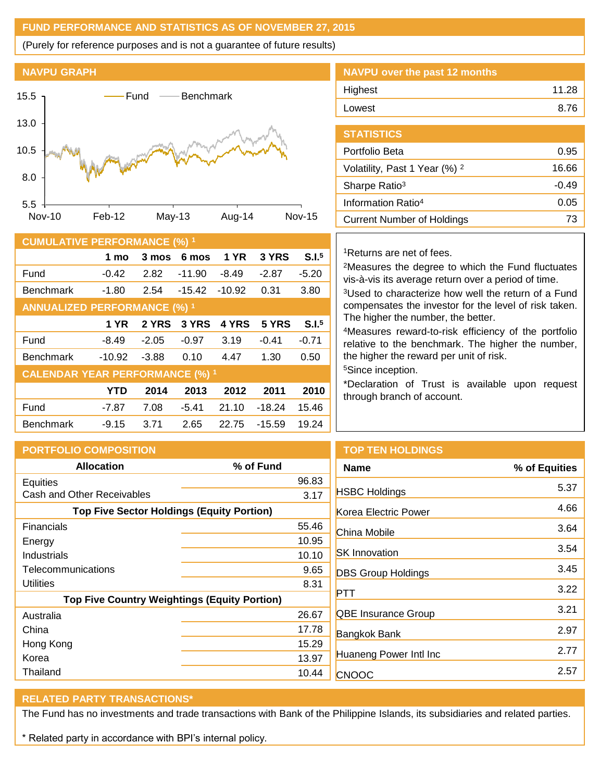# **FUND PERFORMANCE AND STATISTICS AS OF NOVEMBER 27, 2015**

(Purely for reference purposes and is not a guarantee of future results)



| <b>CUMULATIVE PERFORMANCE (%) 1</b>    |            |         |          |             |          |                   |
|----------------------------------------|------------|---------|----------|-------------|----------|-------------------|
|                                        | 1 mo       | 3 mos   | 6 mos    | <b>1 YR</b> | 3 YRS    | S.I. <sup>5</sup> |
| Fund                                   | $-0.42$    | 2.82    | $-11.90$ | $-8.49$     | $-2.87$  | $-5.20$           |
| <b>Benchmark</b>                       | -1.80      | 2.54    | $-15.42$ | $-10.92$    | 0.31     | 3.80              |
| <b>ANNUALIZED PERFORMANCE (%) 1</b>    |            |         |          |             |          |                   |
|                                        | 1 YR       | 2 YRS   | 3 YRS    | 4 YRS       | 5 YRS    | S.I. <sup>5</sup> |
| Fund                                   | $-8.49$    | $-2.05$ | $-0.97$  | 3.19        | $-0.41$  | $-0.71$           |
| <b>Benchmark</b>                       | $-10.92$   | $-3.88$ | 0.10     | 4.47        | 1.30     | 0.50              |
| <b>CALENDAR YEAR PERFORMANCE (%) 1</b> |            |         |          |             |          |                   |
|                                        | <b>YTD</b> | 2014    | 2013     | 2012        | 2011     | 2010              |
| Fund                                   | -7.87      | 7.08    | $-5.41$  | 21.10       | $-18.24$ | 15.46             |
| <b>Benchmark</b>                       | $-9.15$    | 3.71    | 2.65     | 22.75       | -15.59   | 19.24             |

| NAVPU over the past 12 months |       |
|-------------------------------|-------|
| Highest                       | 11.28 |
| Lowest                        | 8.76  |
|                               |       |

| <b>STATISTICS</b>                        |       |
|------------------------------------------|-------|
| Portfolio Beta                           | 0.95  |
| Volatility, Past 1 Year (%) <sup>2</sup> | 16.66 |
| Sharpe Ratio <sup>3</sup>                | -0.49 |
| Information Ratio <sup>4</sup>           | 0.05  |
| <b>Current Number of Holdings</b>        | 73    |
|                                          |       |

## <sup>1</sup>Returns are net of fees.

<sup>2</sup>Measures the degree to which the Fund fluctuates vis-à-vis its average return over a period of time.

<sup>3</sup>Used to characterize how well the return of a Fund compensates the investor for the level of risk taken. The higher the number, the better.

<sup>4</sup>Measures reward-to-risk efficiency of the portfolio relative to the benchmark. The higher the number, the higher the reward per unit of risk.

<sup>5</sup>Since inception.

\*Declaration of Trust is available upon request through branch of account.

| <b>PORTFOLIO COMPOSITION</b>                        |           | <b>TOP TEN HOLDINGS</b>   |               |
|-----------------------------------------------------|-----------|---------------------------|---------------|
| <b>Allocation</b>                                   | % of Fund | <b>Name</b>               | % of Equities |
| Equities                                            | 96.83     |                           | 5.37          |
| Cash and Other Receivables                          | 3.17      | <b>HSBC Holdings</b>      |               |
| <b>Top Five Sector Holdings (Equity Portion)</b>    |           | Korea Electric Power      | 4.66          |
| Financials                                          | 55.46     | China Mobile              | 3.64          |
| Energy                                              | 10.95     |                           |               |
| Industrials                                         | 10.10     | <b>SK</b> Innovation      | 3.54          |
| Telecommunications                                  | 9.65      | <b>DBS Group Holdings</b> | 3.45          |
| <b>Utilities</b>                                    | 8.31      |                           | 3.22          |
| <b>Top Five Country Weightings (Equity Portion)</b> |           | <b>PTT</b>                |               |
| Australia                                           | 26.67     | QBE Insurance Group       | 3.21          |
| China                                               | 17.78     | <b>Bangkok Bank</b>       | 2.97          |
| Hong Kong                                           | 15.29     |                           | 2.77          |
| Korea                                               | 13.97     | Huaneng Power Intl Inc    |               |
| Thailand                                            | 10.44     | <b>CNOOC</b>              | 2.57          |

## **RELATED PARTY TRANSACTIONS\***

The Fund has no investments and trade transactions with Bank of the Philippine Islands, its subsidiaries and related parties.

\* Related party in accordance with BPI's internal policy.